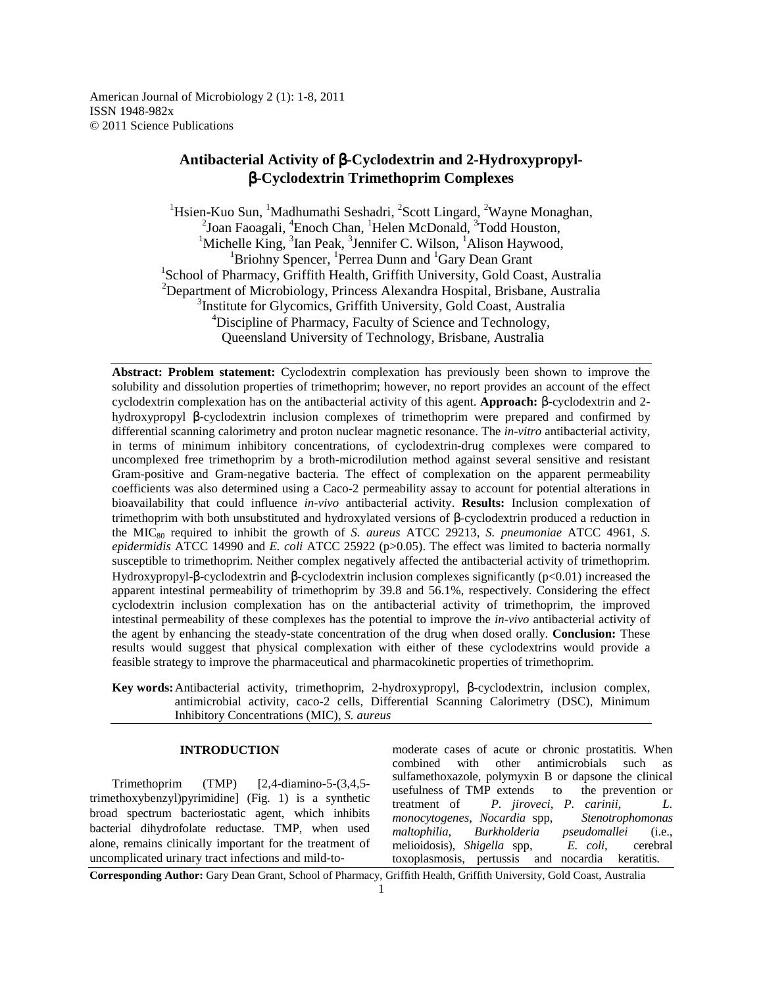American Journal of Microbiology 2 (1): 1-8, 2011 ISSN 1948-982x © 2011 Science Publications

# **Antibacterial Activity of** β**-Cyclodextrin and 2-Hydroxypropyl**β**-Cyclodextrin Trimethoprim Complexes**

<sup>1</sup>Hsien-Kuo Sun, <sup>1</sup>Madhumathi Seshadri, <sup>2</sup>Scott Lingard, <sup>2</sup>Wayne Monaghan, <sup>2</sup>Joan Faoagali, <sup>4</sup>Enoch Chan, <sup>1</sup>Helen McDonald, <sup>3</sup>Todd Houston, <sup>1</sup>Michelle King, <sup>3</sup>Ian Peak, <sup>3</sup>Jennifer C. Wilson, <sup>1</sup>Alison Haywood, <sup>1</sup>Briohny Spencer, <sup>1</sup>Perrea Dunn and <sup>1</sup>Gary Dean Grant <sup>1</sup>School of Pharmacy, Griffith Health, Griffith University, Gold Coast, Australia <sup>2</sup>Department of Microbiology, Princess Alexandra Hospital, Brisbane, Australia <sup>3</sup>Institute for Glycomics, Griffith University, Gold Coast, Australia <sup>4</sup>Discipline of Pharmacy, Faculty of Science and Technology, Queensland University of Technology, Brisbane, Australia

**Abstract: Problem statement:** Cyclodextrin complexation has previously been shown to improve the solubility and dissolution properties of trimethoprim; however, no report provides an account of the effect cyclodextrin complexation has on the antibacterial activity of this agent. **Approach:** β-cyclodextrin and 2 hydroxypropyl β-cyclodextrin inclusion complexes of trimethoprim were prepared and confirmed by differential scanning calorimetry and proton nuclear magnetic resonance. The *in-vitro* antibacterial activity, in terms of minimum inhibitory concentrations, of cyclodextrin-drug complexes were compared to uncomplexed free trimethoprim by a broth-microdilution method against several sensitive and resistant Gram-positive and Gram-negative bacteria. The effect of complexation on the apparent permeability coefficients was also determined using a Caco-2 permeability assay to account for potential alterations in bioavailability that could influence *in-vivo* antibacterial activity. **Results:** Inclusion complexation of trimethoprim with both unsubstituted and hydroxylated versions of β-cyclodextrin produced a reduction in the MIC<sub>80</sub> required to inhibit the growth of *S. aureus* ATCC 29213, *S. pneumoniae* ATCC 4961, *S. epidermidis* ATCC 14990 and *E. coli* ATCC 25922 (p>0.05). The effect was limited to bacteria normally susceptible to trimethoprim. Neither complex negatively affected the antibacterial activity of trimethoprim. Hydroxypropyl-β-cyclodextrin and β-cyclodextrin inclusion complexes significantly (p<0.01) increased the apparent intestinal permeability of trimethoprim by 39.8 and 56.1%, respectively. Considering the effect cyclodextrin inclusion complexation has on the antibacterial activity of trimethoprim, the improved intestinal permeability of these complexes has the potential to improve the *in-vivo* antibacterial activity of the agent by enhancing the steady-state concentration of the drug when dosed orally. **Conclusion:** These results would suggest that physical complexation with either of these cyclodextrins would provide a feasible strategy to improve the pharmaceutical and pharmacokinetic properties of trimethoprim.

**Key words:** Antibacterial activity, trimethoprim, 2-hydroxypropyl, β-cyclodextrin, inclusion complex, antimicrobial activity, caco-2 cells, Differential Scanning Calorimetry (DSC), Minimum Inhibitory Concentrations (MIC), *S. aureus*

### **INTRODUCTION**

 Trimethoprim (TMP) [2,4-diamino-5-(3,4,5 trimethoxybenzyl)pyrimidine] (Fig. 1) is a synthetic broad spectrum bacteriostatic agent, which inhibits bacterial dihydrofolate reductase. TMP, when used alone, remains clinically important for the treatment of uncomplicated urinary tract infections and mild-tomoderate cases of acute or chronic prostatitis. When combined with other antimicrobials such as sulfamethoxazole, polymyxin B or dapsone the clinical usefulness of TMP extends to the prevention or treatment of *P. jiroveci*, *P. carinii*, *L. monocytogenes*, *Nocardia* spp, *Stenotrophomonas maltophilia*, *Burkholderia pseudomallei* (i.e., melioidosis), *Shigella* spp, *E. coli*, cerebral toxoplasmosis, pertussis and nocardia keratitis.

**Corresponding Author:** Gary Dean Grant, School of Pharmacy, Griffith Health, Griffith University, Gold Coast, Australia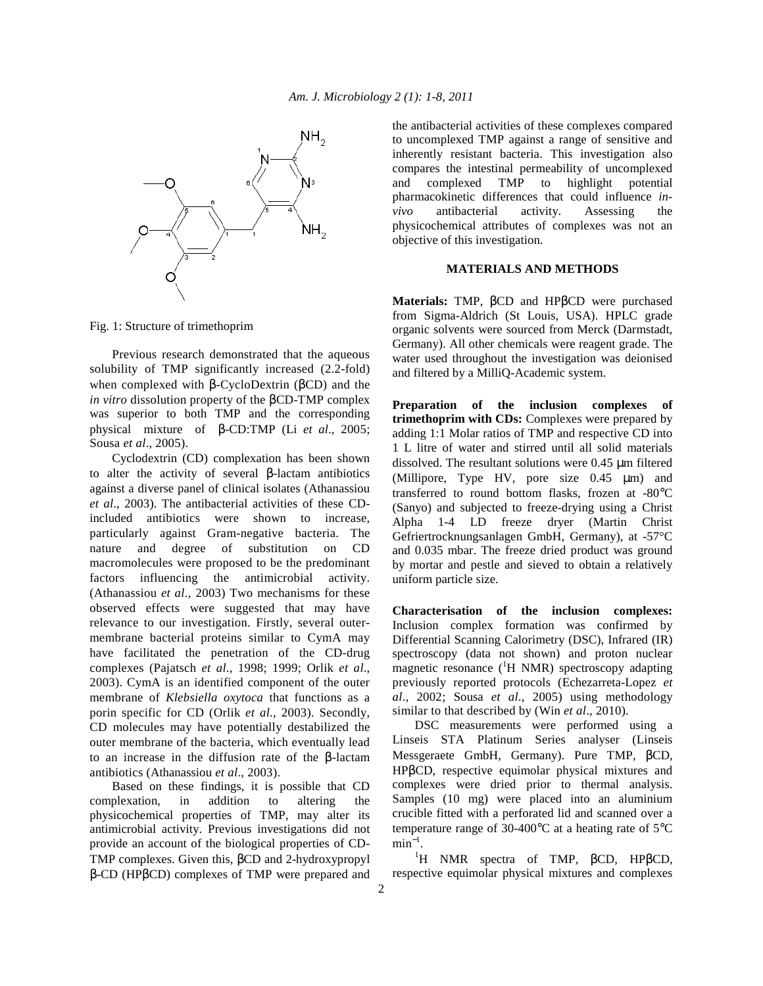

Fig. 1: Structure of trimethoprim

 Previous research demonstrated that the aqueous solubility of TMP significantly increased (2.2-fold) when complexed with β-CycloDextrin (βCD) and the *in vitro* dissolution property of the βCD-TMP complex was superior to both TMP and the corresponding physical mixture of β-CD:TMP (Li *et al*., 2005; Sousa *et al*., 2005).

 Cyclodextrin (CD) complexation has been shown to alter the activity of several β-lactam antibiotics against a diverse panel of clinical isolates (Athanassiou *et al*., 2003). The antibacterial activities of these CDincluded antibiotics were shown to increase, particularly against Gram-negative bacteria. The nature and degree of substitution on CD macromolecules were proposed to be the predominant factors influencing the antimicrobial activity. (Athanassiou *et al*., 2003) Two mechanisms for these observed effects were suggested that may have relevance to our investigation. Firstly, several outermembrane bacterial proteins similar to CymA may have facilitated the penetration of the CD-drug complexes (Pajatsch *et al*., 1998; 1999; Orlik *et al*., 2003). CymA is an identified component of the outer membrane of *Klebsiella oxytoca* that functions as a porin specific for CD (Orlik *et al*., 2003). Secondly, CD molecules may have potentially destabilized the outer membrane of the bacteria, which eventually lead to an increase in the diffusion rate of the β-lactam antibiotics (Athanassiou *et al*., 2003).

 Based on these findings, it is possible that CD complexation, in addition to altering the physicochemical properties of TMP, may alter its antimicrobial activity. Previous investigations did not provide an account of the biological properties of CD-TMP complexes. Given this, βCD and 2-hydroxypropyl β-CD (HPβCD) complexes of TMP were prepared and the antibacterial activities of these complexes compared to uncomplexed TMP against a range of sensitive and inherently resistant bacteria. This investigation also compares the intestinal permeability of uncomplexed and complexed TMP to highlight potential pharmacokinetic differences that could influence *invivo* antibacterial activity. Assessing the physicochemical attributes of complexes was not an objective of this investigation.

### **MATERIALS AND METHODS**

**Materials:** TMP, βCD and HPβCD were purchased from Sigma-Aldrich (St Louis, USA). HPLC grade organic solvents were sourced from Merck (Darmstadt, Germany). All other chemicals were reagent grade. The water used throughout the investigation was deionised and filtered by a MilliQ-Academic system.

**Preparation of the inclusion complexes of trimethoprim with CDs:** Complexes were prepared by adding 1:1 Molar ratios of TMP and respective CD into 1 L litre of water and stirred until all solid materials dissolved. The resultant solutions were 0.45 µm filtered (Millipore, Type HV, pore size 0.45 µm) and transferred to round bottom flasks, frozen at -80°C (Sanyo) and subjected to freeze-drying using a Christ Alpha 1-4 LD freeze dryer (Martin Christ Gefriertrocknungsanlagen GmbH, Germany), at -57°C and 0.035 mbar. The freeze dried product was ground by mortar and pestle and sieved to obtain a relatively uniform particle size.

**Characterisation of the inclusion complexes:**  Inclusion complex formation was confirmed by Differential Scanning Calorimetry (DSC), Infrared (IR) spectroscopy (data not shown) and proton nuclear magnetic resonance  $({}^{1}H$  NMR) spectroscopy adapting previously reported protocols (Echezarreta-Lopez *et al*., 2002; Sousa *et al*., 2005) using methodology similar to that described by (Win *et al*., 2010).

 DSC measurements were performed using a Linseis STA Platinum Series analyser (Linseis Messgeraete GmbH, Germany). Pure TMP, βCD, HPβCD, respective equimolar physical mixtures and complexes were dried prior to thermal analysis. Samples (10 mg) were placed into an aluminium crucible fitted with a perforated lid and scanned over a temperature range of 30-400°C at a heating rate of 5°C  $min^{-1}$ .

<sup>1</sup>H NMR spectra of TMP, βCD, HPβCD, respective equimolar physical mixtures and complexes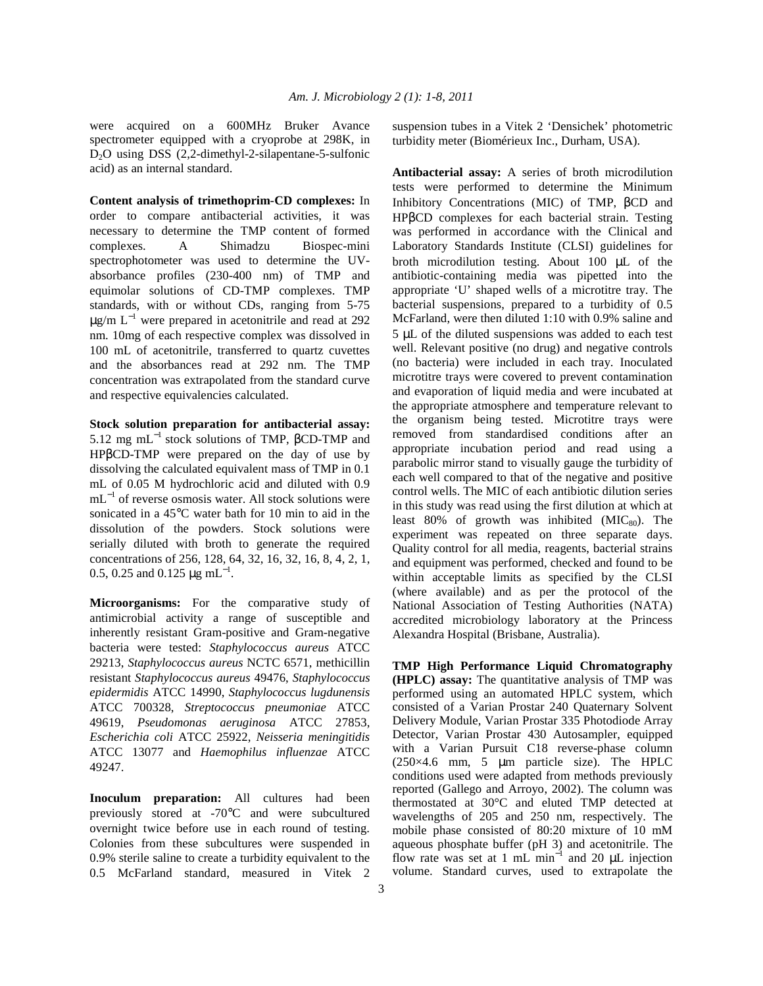were acquired on a 600MHz Bruker Avance spectrometer equipped with a cryoprobe at 298K, in D<sub>2</sub>O using DSS (2,2-dimethyl-2-silapentane-5-sulfonic acid) as an internal standard.

**Content analysis of trimethoprim-CD complexes:** In order to compare antibacterial activities, it was necessary to determine the TMP content of formed complexes. A Shimadzu Biospec-mini spectrophotometer was used to determine the UVabsorbance profiles (230-400 nm) of TMP and equimolar solutions of CD-TMP complexes. TMP standards, with or without CDs, ranging from 5-75  $\mu$ g/m L<sup>-1</sup> were prepared in acetonitrile and read at 292 nm. 10mg of each respective complex was dissolved in 100 mL of acetonitrile, transferred to quartz cuvettes and the absorbances read at 292 nm. The TMP concentration was extrapolated from the standard curve and respective equivalencies calculated.

**Stock solution preparation for antibacterial assay:** 5.12 mg mL<sup>-1</sup> stock solutions of TMP,  $βCD-TMP$  and HPβCD-TMP were prepared on the day of use by dissolving the calculated equivalent mass of TMP in 0.1 mL of 0.05 M hydrochloric acid and diluted with 0.9 mL<sup>-1</sup> of reverse osmosis water. All stock solutions were sonicated in a 45°C water bath for 10 min to aid in the dissolution of the powders. Stock solutions were serially diluted with broth to generate the required concentrations of 256, 128, 64, 32, 16, 32, 16, 8, 4, 2, 1, 0.5, 0.25 and 0.125  $\mu$ g mL<sup>-1</sup>.

**Microorganisms:** For the comparative study of antimicrobial activity a range of susceptible and inherently resistant Gram-positive and Gram-negative bacteria were tested: *Staphylococcus aureus* ATCC 29213, *Staphylococcus aureus* NCTC 6571, methicillin resistant *Staphylococcus aureus* 49476, *Staphylococcus epidermidis* ATCC 14990, *Staphylococcus lugdunensis* ATCC 700328, *Streptococcus pneumoniae* ATCC 49619, *Pseudomonas aeruginosa* ATCC 27853, *Escherichia coli* ATCC 25922, *Neisseria meningitidis* ATCC 13077 and *Haemophilus influenzae* ATCC 49247.

**Inoculum preparation:** All cultures had been previously stored at -70°C and were subcultured overnight twice before use in each round of testing. Colonies from these subcultures were suspended in 0.9% sterile saline to create a turbidity equivalent to the 0.5 McFarland standard, measured in Vitek 2

suspension tubes in a Vitek 2 'Densichek' photometric turbidity meter (Biomérieux Inc., Durham, USA).

**Antibacterial assay:** A series of broth microdilution tests were performed to determine the Minimum Inhibitory Concentrations (MIC) of TMP, βCD and HPβCD complexes for each bacterial strain. Testing was performed in accordance with the Clinical and Laboratory Standards Institute (CLSI) guidelines for broth microdilution testing. About 100 µL of the antibiotic-containing media was pipetted into the appropriate 'U' shaped wells of a microtitre tray. The bacterial suspensions, prepared to a turbidity of 0.5 McFarland, were then diluted 1:10 with 0.9% saline and 5 µL of the diluted suspensions was added to each test well. Relevant positive (no drug) and negative controls (no bacteria) were included in each tray. Inoculated microtitre trays were covered to prevent contamination and evaporation of liquid media and were incubated at the appropriate atmosphere and temperature relevant to the organism being tested. Microtitre trays were removed from standardised conditions after an appropriate incubation period and read using a parabolic mirror stand to visually gauge the turbidity of each well compared to that of the negative and positive control wells. The MIC of each antibiotic dilution series in this study was read using the first dilution at which at least 80% of growth was inhibited  $(MIC_{80})$ . The experiment was repeated on three separate days. Quality control for all media, reagents, bacterial strains and equipment was performed, checked and found to be within acceptable limits as specified by the CLSI (where available) and as per the protocol of the National Association of Testing Authorities (NATA) accredited microbiology laboratory at the Princess Alexandra Hospital (Brisbane, Australia).

**TMP High Performance Liquid Chromatography (HPLC) assay:** The quantitative analysis of TMP was performed using an automated HPLC system, which consisted of a Varian Prostar 240 Quaternary Solvent Delivery Module, Varian Prostar 335 Photodiode Array Detector, Varian Prostar 430 Autosampler, equipped with a Varian Pursuit C18 reverse-phase column  $(250\times4.6$  mm, 5 µm particle size). The HPLC conditions used were adapted from methods previously reported (Gallego and Arroyo, 2002). The column was thermostated at 30°C and eluted TMP detected at wavelengths of 205 and 250 nm, respectively. The mobile phase consisted of 80:20 mixture of 10 mM aqueous phosphate buffer (pH 3) and acetonitrile. The flow rate was set at 1 mL min<sup>-1</sup> and 20  $\mu$ L injection volume. Standard curves, used to extrapolate the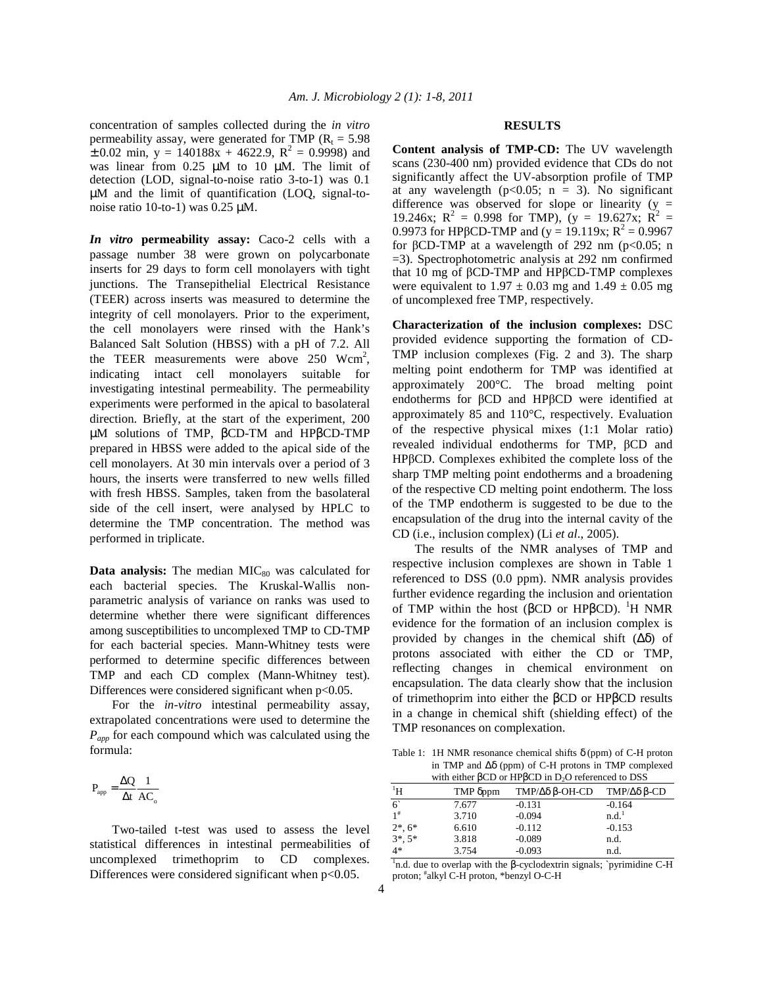concentration of samples collected during the *in vitro* permeability assay, were generated for TMP ( $R_t = 5.98$ )  $\pm$  0.02 min, y = 140188x + 4622.9, R<sup>2</sup> = 0.9998) and was linear from 0.25  $\mu$ M to 10  $\mu$ M. The limit of detection (LOD, signal-to-noise ratio 3-to-1) was 0.1 µM and the limit of quantification (LOQ, signal-tonoise ratio 10-to-1) was 0.25 µM.

*In vitro* **permeability assay:** Caco-2 cells with a passage number 38 were grown on polycarbonate inserts for 29 days to form cell monolayers with tight junctions. The Transepithelial Electrical Resistance (TEER) across inserts was measured to determine the integrity of cell monolayers. Prior to the experiment, the cell monolayers were rinsed with the Hank's Balanced Salt Solution (HBSS) with a pH of 7.2. All the TEER measurements were above  $250$  Wcm<sup>2</sup>, indicating intact cell monolayers suitable for investigating intestinal permeability. The permeability experiments were performed in the apical to basolateral direction. Briefly, at the start of the experiment, 200 µM solutions of TMP, βCD-TM and HPβCD-TMP prepared in HBSS were added to the apical side of the cell monolayers. At 30 min intervals over a period of 3 hours, the inserts were transferred to new wells filled with fresh HBSS. Samples, taken from the basolateral side of the cell insert, were analysed by HPLC to determine the TMP concentration. The method was performed in triplicate.

**Data analysis:** The median MIC<sub>80</sub> was calculated for each bacterial species. The Kruskal-Wallis nonparametric analysis of variance on ranks was used to determine whether there were significant differences among susceptibilities to uncomplexed TMP to CD-TMP for each bacterial species. Mann-Whitney tests were performed to determine specific differences between TMP and each CD complex (Mann-Whitney test). Differences were considered significant when  $p<0.05$ .

 For the *in-vitro* intestinal permeability assay, extrapolated concentrations were used to determine the *Papp* for each compound which was calculated using the formula:

$$
P_{\text{app}} = \frac{\Delta Q}{\Delta t} \frac{1}{A C_{\text{o}}}
$$

 Two-tailed t-test was used to assess the level statistical differences in intestinal permeabilities of uncomplexed trimethoprim to CD complexes. Differences were considered significant when  $p<0.05$ .

#### **RESULTS**

**Content analysis of TMP-CD:** The UV wavelength scans (230-400 nm) provided evidence that CDs do not significantly affect the UV-absorption profile of TMP at any wavelength ( $p<0.05$ ;  $n = 3$ ). No significant difference was observed for slope or linearity  $(y =$ 19.246x;  $R^2 = 0.998$  for TMP),  $(y = 19.627x; R^2 =$ 0.9973 for HPβCD-TMP and (y = 19.119x; R<sup>2</sup> = 0.9967 for βCD-TMP at a wavelength of 292 nm ( $p < 0.05$ ; n =3). Spectrophotometric analysis at 292 nm confirmed that 10 mg of βCD-TMP and HPβCD-TMP complexes were equivalent to  $1.97 \pm 0.03$  mg and  $1.49 \pm 0.05$  mg of uncomplexed free TMP, respectively.

**Characterization of the inclusion complexes:** DSC provided evidence supporting the formation of CD-TMP inclusion complexes (Fig. 2 and 3). The sharp melting point endotherm for TMP was identified at approximately 200°C. The broad melting point endotherms for βCD and HPβCD were identified at approximately 85 and 110°C, respectively. Evaluation of the respective physical mixes (1:1 Molar ratio) revealed individual endotherms for TMP, βCD and HPβCD. Complexes exhibited the complete loss of the sharp TMP melting point endotherms and a broadening of the respective CD melting point endotherm. The loss of the TMP endotherm is suggested to be due to the encapsulation of the drug into the internal cavity of the CD (i.e., inclusion complex) (Li *et al*., 2005).

 The results of the NMR analyses of TMP and respective inclusion complexes are shown in Table 1 referenced to DSS (0.0 ppm). NMR analysis provides further evidence regarding the inclusion and orientation of TMP within the host (βCD or HPβCD). <sup>1</sup>H NMR evidence for the formation of an inclusion complex is provided by changes in the chemical shift  $(\Delta \delta)$  of protons associated with either the CD or TMP, reflecting changes in chemical environment on encapsulation. The data clearly show that the inclusion of trimethoprim into either the βCD or HPβCD results in a change in chemical shift (shielding effect) of the TMP resonances on complexation.

Table 1: 1H NMR resonance chemical shifts  $\delta$  (ppm) of C-H proton in TMP and  $\Delta\delta$  (ppm) of C-H protons in TMP complexed<br>with sither  $BCD$  or  $\text{LDP}$  in D.O. referenced to DSS with either groups in Disponsion in Disponsion in Disponsion in Disponsion in Disponsion in Disponsion in Disp<br>Traditional to Disponsion in Disponsion in Disponsion in Disponsion in Disponsion in Disponsion in Disponsion<br>

| with either pCD or HPDCD in D <sub>2</sub> O referenced to DSS |          |                            |                   |  |
|----------------------------------------------------------------|----------|----------------------------|-------------------|--|
| $\mathrm{^{1}H}$                                               | TMP δppm | TMP/Δδ β-OH-CD TMP/Δδ β-CD |                   |  |
| 6                                                              | 7.677    | $-0.131$                   | $-0.164$          |  |
| $1^{\#}$                                                       | 3.710    | $-0.094$                   | n.d. <sup>1</sup> |  |
| $2^*$ , 6 <sup>*</sup>                                         | 6.610    | $-0.112$                   | $-0.153$          |  |
| $3^*$ , $5^*$                                                  | 3.818    | $-0.089$                   | n.d.              |  |
| $4*$                                                           | 3.754    | $-0.093$                   | n.d.              |  |

<sup>1</sup>n.d. due to overlap with the β-cyclodextrin signals; `pyrimidine C-H proton; # alkyl C-H proton, \*benzyl O-C-H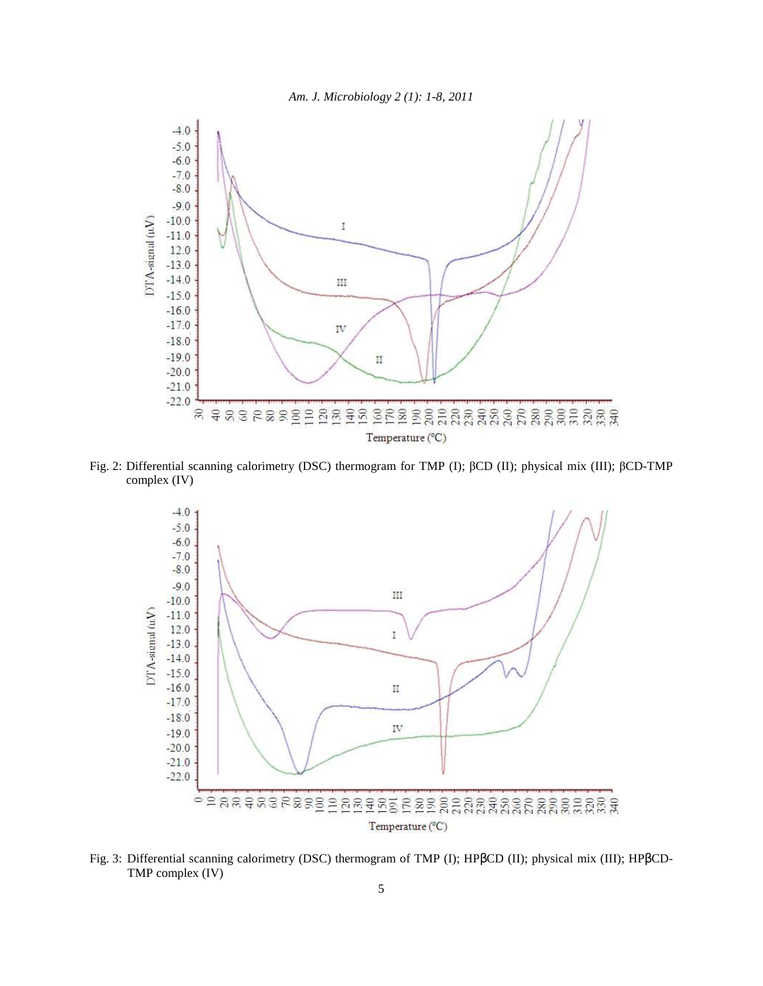



Fig. 2: Differential scanning calorimetry (DSC) thermogram for TMP (I); βCD (II); physical mix (III); βCD-TMP complex (IV)



Fig. 3: Differential scanning calorimetry (DSC) thermogram of TMP (I); HPβCD (II); physical mix (III); HPβCD-TMP complex (IV)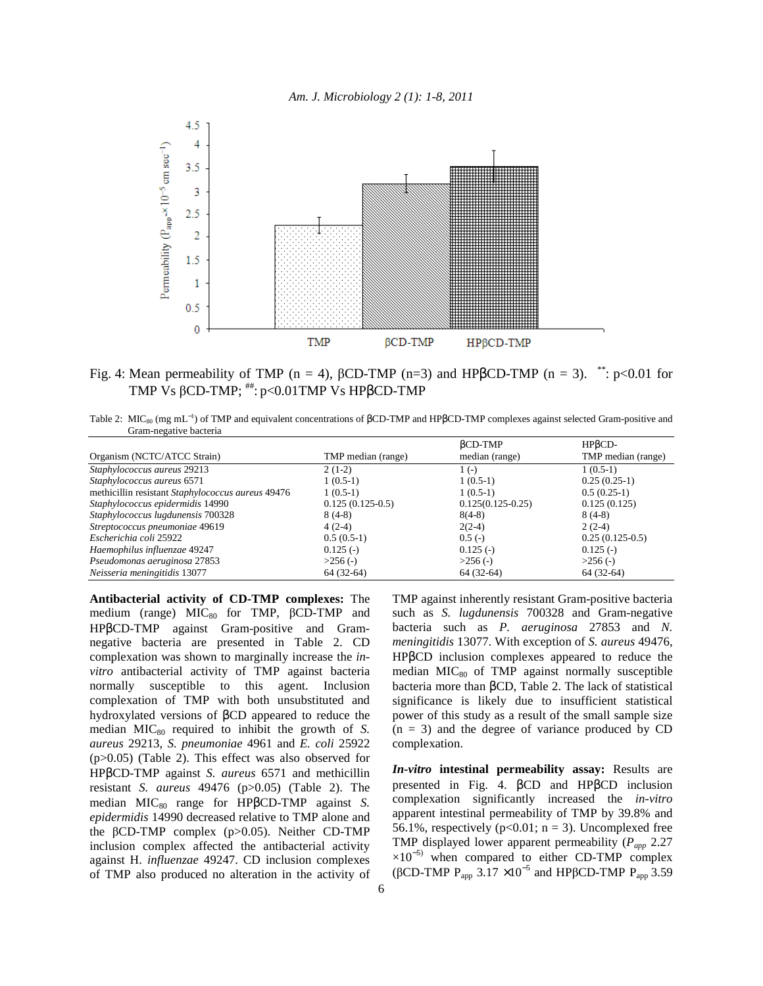



Fig. 4: Mean permeability of TMP (n = 4),  $\beta$ CD-TMP (n=3) and HP $\beta$ CD-TMP (n = 3). \*\*: p<0.01 for TMP Vs βCD-TMP; ##: p<0.01TMP Vs HPβCD-TMP

Table 2: MIC<sub>80</sub> (mg mL<sup>-1</sup>) of TMP and equivalent concentrations of βCD-TMP and HPβCD-TMP complexes against selected Gram-positive and Gram-negative bacteria

|                                                   |                    | $BCD-TMP$           | HPBCD-             |
|---------------------------------------------------|--------------------|---------------------|--------------------|
| Organism (NCTC/ATCC Strain)                       | TMP median (range) | median (range)      | TMP median (range) |
| Staphylococcus aureus 29213                       | $2(1-2)$           | $1(-)$              | $1(0.5-1)$         |
| Staphylococcus aureus 6571                        | $1(0.5-1)$         | $1(0.5-1)$          | $0.25(0.25-1)$     |
| methicillin resistant Staphylococcus aureus 49476 | $1(0.5-1)$         | $1(0.5-1)$          | $0.5(0.25-1)$      |
| Staphylococcus epidermidis 14990                  | $0.125(0.125-0.5)$ | $0.125(0.125-0.25)$ | 0.125(0.125)       |
| Staphylococcus lugdunensis 700328                 | $8(4-8)$           | $8(4-8)$            | $8(4-8)$           |
| Streptococcus pneumoniae 49619                    | $4(2-4)$           | $2(2-4)$            | $2(2-4)$           |
| Escherichia coli 25922                            | $0.5(0.5-1)$       | $0.5(-)$            | $0.25(0.125-0.5)$  |
| Haemophilus influenzae 49247                      | $0.125(-)$         | $0.125$ (-)         | $0.125(-)$         |
| Pseudomonas aeruginosa 27853                      | $>256$ (-)         | $>256$ (-)          | $>256$ (-)         |
| Neisseria meningitidis 13077                      | $64(32-64)$        | $64(32-64)$         | $64(32-64)$        |

**Antibacterial activity of CD-TMP complexes:** The medium (range)  $MIC<sub>80</sub>$  for TMP,  $\beta$ CD-TMP and HPβCD-TMP against Gram-positive and Gramnegative bacteria are presented in Table 2. CD complexation was shown to marginally increase the *invitro* antibacterial activity of TMP against bacteria normally susceptible to this agent. Inclusion complexation of TMP with both unsubstituted and hydroxylated versions of βCD appeared to reduce the median MIC<sub>80</sub> required to inhibit the growth of *S*. *aureus* 29213, *S. pneumoniae* 4961 and *E. coli* 25922 (p>0.05) (Table 2). This effect was also observed for HPβCD-TMP against *S. aureus* 6571 and methicillin resistant *S. aureus* 49476 (p>0.05) (Table 2). The median MIC<sub>80</sub> range for HPβCD-TMP against *S*. *epidermidis* 14990 decreased relative to TMP alone and the βCD-TMP complex (p>0.05). Neither CD-TMP inclusion complex affected the antibacterial activity against H. *influenzae* 49247. CD inclusion complexes of TMP also produced no alteration in the activity of TMP against inherently resistant Gram-positive bacteria such as *S. lugdunensis* 700328 and Gram-negative bacteria such as *P. aeruginosa* 27853 and *N. meningitidis* 13077. With exception of *S. aureus* 49476, HPβCD inclusion complexes appeared to reduce the median MIC<sub>80</sub> of TMP against normally susceptible bacteria more than βCD, Table 2. The lack of statistical significance is likely due to insufficient statistical power of this study as a result of the small sample size  $(n = 3)$  and the degree of variance produced by CD complexation.

*In-vitro* **intestinal permeability assay:** Results are presented in Fig. 4. βCD and HPβCD inclusion complexation significantly increased the *in-vitro* apparent intestinal permeability of TMP by 39.8% and 56.1%, respectively ( $p<0.01$ ;  $n = 3$ ). Uncomplexed free TMP displayed lower apparent permeability (*Papp* 2.27  $\times10^{-5}$  when compared to either CD-TMP complex (βCD-TMP  $P_{app}$  3.17 ×10<sup>-5</sup> and HPβCD-TMP  $P_{app}$  3.59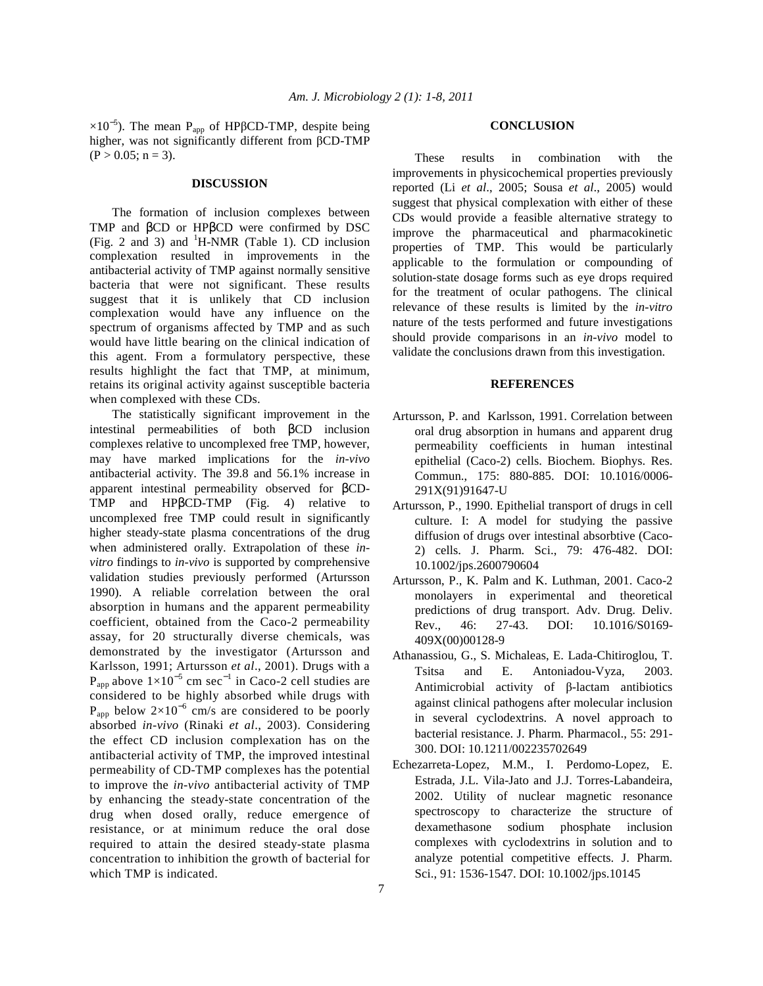$\times 10^{-5}$ ). The mean P<sub>app</sub> of HPβCD-TMP, despite being higher, was not significantly different from βCD-TMP  $(P > 0.05; n = 3)$ .

## **DISCUSSION**

 The formation of inclusion complexes between TMP and βCD or HPβCD were confirmed by DSC (Fig. 2 and 3) and  $^1$ H-NMR (Table 1). CD inclusion complexation resulted in improvements in the antibacterial activity of TMP against normally sensitive bacteria that were not significant. These results suggest that it is unlikely that CD inclusion complexation would have any influence on the spectrum of organisms affected by TMP and as such would have little bearing on the clinical indication of this agent. From a formulatory perspective, these results highlight the fact that TMP, at minimum, retains its original activity against susceptible bacteria when complexed with these CDs.

 The statistically significant improvement in the intestinal permeabilities of both βCD inclusion complexes relative to uncomplexed free TMP, however, may have marked implications for the *in-vivo*  antibacterial activity. The 39.8 and 56.1% increase in apparent intestinal permeability observed for βCD-TMP and HPβCD-TMP (Fig. 4) relative to uncomplexed free TMP could result in significantly higher steady-state plasma concentrations of the drug when administered orally. Extrapolation of these *invitro* findings to *in-vivo* is supported by comprehensive validation studies previously performed (Artursson 1990). A reliable correlation between the oral absorption in humans and the apparent permeability coefficient, obtained from the Caco-2 permeability assay, for 20 structurally diverse chemicals, was demonstrated by the investigator (Artursson and Karlsson, 1991; Artursson *et al*., 2001). Drugs with a  $P_{app}$  above  $1 \times 10^{-5}$  cm sec<sup>-1</sup> in Caco-2 cell studies are considered to be highly absorbed while drugs with  $P_{app}$  below 2×10<sup>-6</sup> cm/s are considered to be poorly absorbed *in-vivo* (Rinaki *et al*., 2003). Considering the effect CD inclusion complexation has on the antibacterial activity of TMP, the improved intestinal permeability of CD-TMP complexes has the potential to improve the *in-vivo* antibacterial activity of TMP by enhancing the steady-state concentration of the drug when dosed orally, reduce emergence of resistance, or at minimum reduce the oral dose required to attain the desired steady-state plasma concentration to inhibition the growth of bacterial for which TMP is indicated.

#### **CONCLUSION**

 These results in combination with the improvements in physicochemical properties previously reported (Li *et al*., 2005; Sousa *et al*., 2005) would suggest that physical complexation with either of these CDs would provide a feasible alternative strategy to improve the pharmaceutical and pharmacokinetic properties of TMP. This would be particularly applicable to the formulation or compounding of solution-state dosage forms such as eye drops required for the treatment of ocular pathogens. The clinical relevance of these results is limited by the *in-vitro* nature of the tests performed and future investigations should provide comparisons in an *in-vivo* model to validate the conclusions drawn from this investigation.

### **REFERENCES**

- Artursson, P. and Karlsson, 1991. Correlation between oral drug absorption in humans and apparent drug permeability coefficients in human intestinal epithelial (Caco-2) cells. Biochem. Biophys. Res. Commun., 175: 880-885. DOI: 10.1016/0006- 291X(91)91647-U
- Artursson, P., 1990. Epithelial transport of drugs in cell culture. I: A model for studying the passive diffusion of drugs over intestinal absorbtive (Caco-2) cells. J. Pharm. Sci., 79: 476-482. DOI: 10.1002/jps.2600790604
- Artursson, P., K. Palm and K. Luthman, 2001. Caco-2 monolayers in experimental and theoretical predictions of drug transport. Adv. Drug. Deliv. Rev., 46: 27-43. DOI: 10.1016/S0169- 409X(00)00128-9
- Athanassiou, G., S. Michaleas, E. Lada-Chitiroglou, T. Tsitsa and E. Antoniadou-Vyza, 2003. Antimicrobial activity of β-lactam antibiotics against clinical pathogens after molecular inclusion in several cyclodextrins. A novel approach to bacterial resistance. J. Pharm. Pharmacol., 55: 291- 300. DOI: 10.1211/002235702649
- Echezarreta-Lopez, M.M., I. Perdomo-Lopez, E. Estrada, J.L. Vila-Jato and J.J. Torres-Labandeira, 2002. Utility of nuclear magnetic resonance spectroscopy to characterize the structure of dexamethasone sodium phosphate inclusion complexes with cyclodextrins in solution and to analyze potential competitive effects. J. Pharm. Sci., 91: 1536-1547. DOI: 10.1002/jps.10145